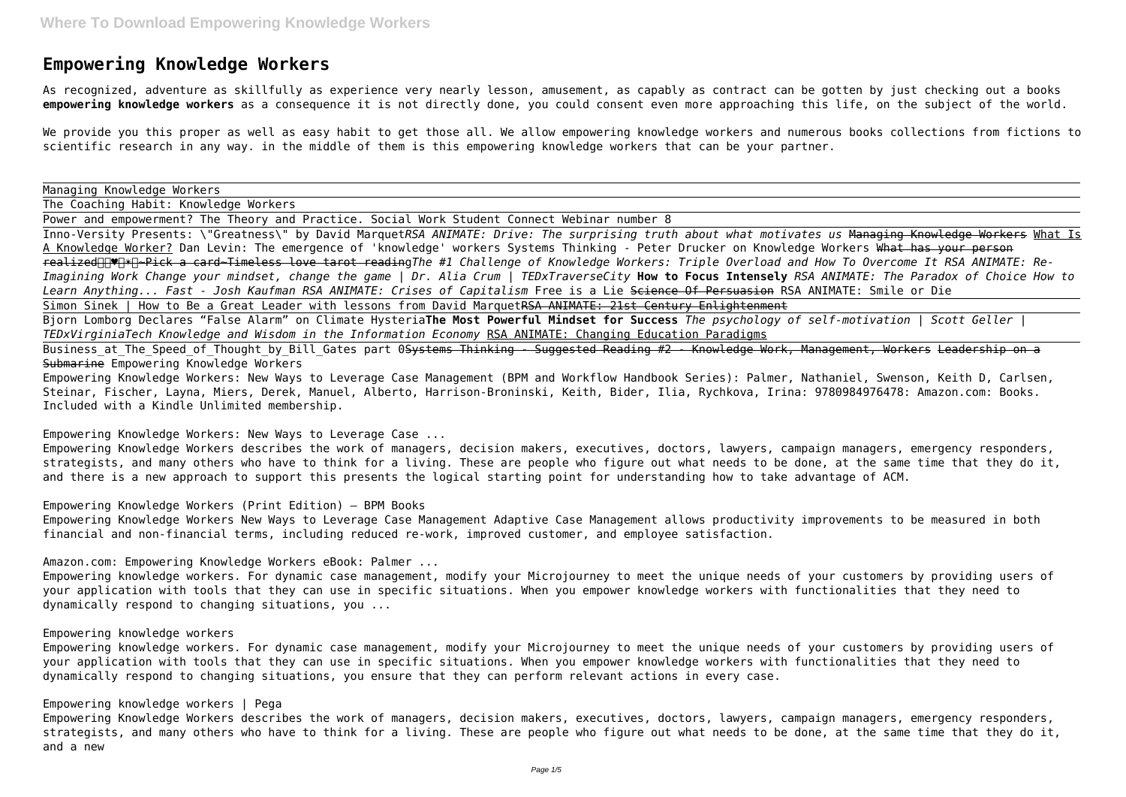## **Empowering Knowledge Workers**

As recognized, adventure as skillfully as experience very nearly lesson, amusement, as capably as contract can be gotten by just checking out a books **empowering knowledge workers** as a consequence it is not directly done, you could consent even more approaching this life, on the subject of the world.

Inno-Versity Presents: \"Greatness\" by David Marquet*RSA ANIMATE: Drive: The surprising truth about what motivates us* Managing Knowledge Workers What Is A Knowledge Worker? Dan Levin: The emergence of 'knowledge' workers Systems Thinking - Peter Drucker on Knowledge Workers What has your person realized♥️☀️~Pick a card~Timeless love tarot reading*The #1 Challenge of Knowledge Workers: Triple Overload and How To Overcome It RSA ANIMATE: Re-Imagining Work Change your mindset, change the game | Dr. Alia Crum | TEDxTraverseCity* **How to Focus Intensely** *RSA ANIMATE: The Paradox of Choice How to Learn Anything... Fast - Josh Kaufman RSA ANIMATE: Crises of Capitalism* Free is a Lie Science Of Persuasion RSA ANIMATE: Smile or Die Simon Sinek | How to Be a Great Leader with lessons from David MarquetRSA ANIMATE: 21st Century Enlightenment

We provide you this proper as well as easy habit to get those all. We allow empowering knowledge workers and numerous books collections from fictions to scientific research in any way. in the middle of them is this empowering knowledge workers that can be your partner.

Managing Knowledge Workers

The Coaching Habit: Knowledge Workers

Power and empowerment? The Theory and Practice. Social Work Student Connect Webinar number 8

Business at The Speed of Thought by Bill Gates part 0<del>Systems Thinking - Suggested Reading #2 - Knowledge Work, Management, Workers Leadership on a</del> Submarine Empowering Knowledge Workers

Bjorn Lomborg Declares "False Alarm" on Climate Hysteria**The Most Powerful Mindset for Success** *The psychology of self-motivation | Scott Geller | TEDxVirginiaTech Knowledge and Wisdom in the Information Economy* RSA ANIMATE: Changing Education Paradigms

Empowering Knowledge Workers: New Ways to Leverage Case Management (BPM and Workflow Handbook Series): Palmer, Nathaniel, Swenson, Keith D, Carlsen, Steinar, Fischer, Layna, Miers, Derek, Manuel, Alberto, Harrison-Broninski, Keith, Bider, Ilia, Rychkova, Irina: 9780984976478: Amazon.com: Books. Included with a Kindle Unlimited membership.

Empowering Knowledge Workers: New Ways to Leverage Case ...

Empowering Knowledge Workers describes the work of managers, decision makers, executives, doctors, lawyers, campaign managers, emergency responders, strategists, and many others who have to think for a living. These are people who figure out what needs to be done, at the same time that they do it, and there is a new approach to support this presents the logical starting point for understanding how to take advantage of ACM.

Empowering Knowledge Workers (Print Edition) – BPM Books

Empowering Knowledge Workers New Ways to Leverage Case Management Adaptive Case Management allows productivity improvements to be measured in both financial and non-financial terms, including reduced re-work, improved customer, and employee satisfaction.

Amazon.com: Empowering Knowledge Workers eBook: Palmer ...

Empowering knowledge workers. For dynamic case management, modify your Microjourney to meet the unique needs of your customers by providing users of your application with tools that they can use in specific situations. When you empower knowledge workers with functionalities that they need to dynamically respond to changing situations, you ...

## Empowering knowledge workers

Empowering knowledge workers. For dynamic case management, modify your Microjourney to meet the unique needs of your customers by providing users of your application with tools that they can use in specific situations. When you empower knowledge workers with functionalities that they need to dynamically respond to changing situations, you ensure that they can perform relevant actions in every case.

## Empowering knowledge workers | Pega

Empowering Knowledge Workers describes the work of managers, decision makers, executives, doctors, lawyers, campaign managers, emergency responders, strategists, and many others who have to think for a living. These are people who figure out what needs to be done, at the same time that they do it, and a new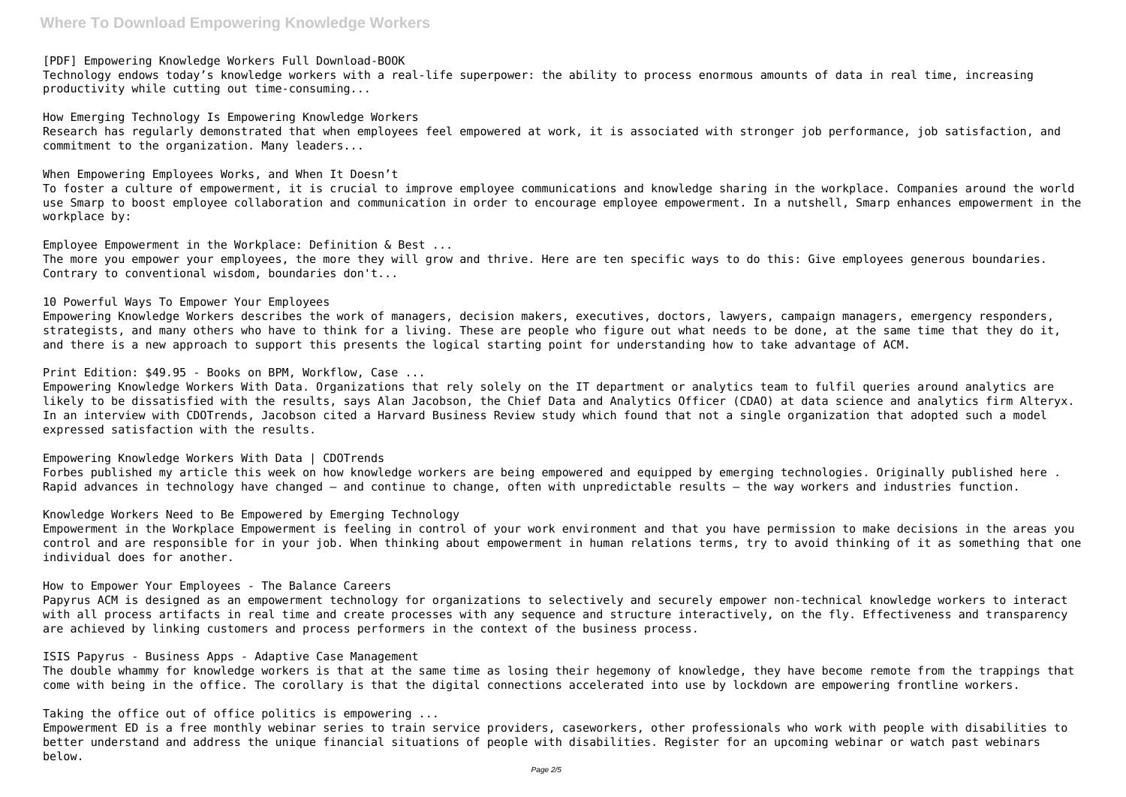[PDF] Empowering Knowledge Workers Full Download-BOOK

Technology endows today's knowledge workers with a real-life superpower: the ability to process enormous amounts of data in real time, increasing productivity while cutting out time-consuming...

How Emerging Technology Is Empowering Knowledge Workers Research has regularly demonstrated that when employees feel empowered at work, it is associated with stronger job performance, job satisfaction, and commitment to the organization. Many leaders...

When Empowering Employees Works, and When It Doesn't

To foster a culture of empowerment, it is crucial to improve employee communications and knowledge sharing in the workplace. Companies around the world use Smarp to boost employee collaboration and communication in order to encourage employee empowerment. In a nutshell, Smarp enhances empowerment in the workplace by:

Employee Empowerment in the Workplace: Definition & Best ... The more you empower your employees, the more they will grow and thrive. Here are ten specific ways to do this: Give employees generous boundaries. Contrary to conventional wisdom, boundaries don't...

10 Powerful Ways To Empower Your Employees Empowering Knowledge Workers describes the work of managers, decision makers, executives, doctors, lawyers, campaign managers, emergency responders, strategists, and many others who have to think for a living. These are people who figure out what needs to be done, at the same time that they do it, and there is a new approach to support this presents the logical starting point for understanding how to take advantage of ACM.

Print Edition: \$49.95 - Books on BPM, Workflow, Case ...

Empowering Knowledge Workers With Data. Organizations that rely solely on the IT department or analytics team to fulfil queries around analytics are likely to be dissatisfied with the results, says Alan Jacobson, the Chief Data and Analytics Officer (CDAO) at data science and analytics firm Alteryx. In an interview with CDOTrends, Jacobson cited a Harvard Business Review study which found that not a single organization that adopted such a model expressed satisfaction with the results.

Empowering Knowledge Workers With Data | CDOTrends Forbes published my article this week on how knowledge workers are being empowered and equipped by emerging technologies. Originally published here . Rapid advances in technology have changed — and continue to change, often with unpredictable results — the way workers and industries function.

Knowledge Workers Need to Be Empowered by Emerging Technology Empowerment in the Workplace Empowerment is feeling in control of your work environment and that you have permission to make decisions in the areas you control and are responsible for in your job. When thinking about empowerment in human relations terms, try to avoid thinking of it as something that one individual does for another.

How to Empower Your Employees - The Balance Careers Papyrus ACM is designed as an empowerment technology for organizations to selectively and securely empower non-technical knowledge workers to interact with all process artifacts in real time and create processes with any sequence and structure interactively, on the fly. Effectiveness and transparency are achieved by linking customers and process performers in the context of the business process.

ISIS Papyrus - Business Apps - Adaptive Case Management

The double whammy for knowledge workers is that at the same time as losing their hegemony of knowledge, they have become remote from the trappings that come with being in the office. The corollary is that the digital connections accelerated into use by lockdown are empowering frontline workers.

Taking the office out of office politics is empowering ...

Empowerment ED is a free monthly webinar series to train service providers, caseworkers, other professionals who work with people with disabilities to better understand and address the unique financial situations of people with disabilities. Register for an upcoming webinar or watch past webinars below.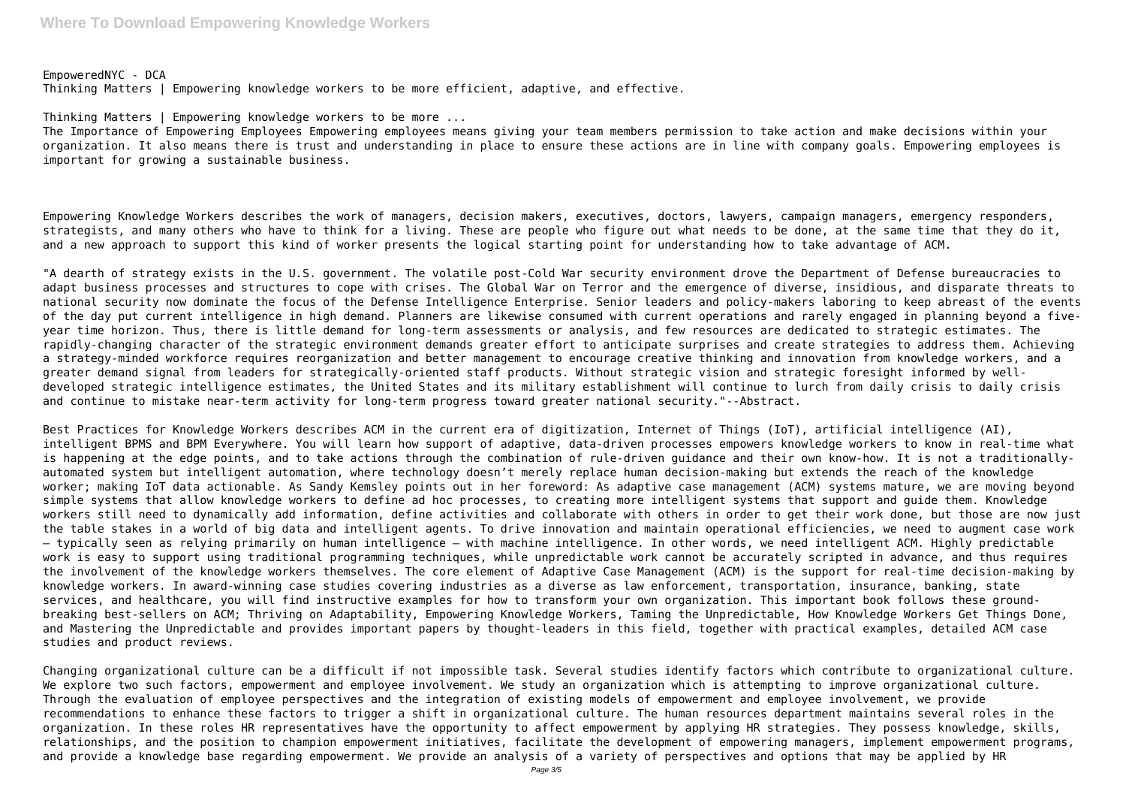EmpoweredNYC - DCA Thinking Matters | Empowering knowledge workers to be more efficient, adaptive, and effective.

Thinking Matters | Empowering knowledge workers to be more ...

The Importance of Empowering Employees Empowering employees means giving your team members permission to take action and make decisions within your organization. It also means there is trust and understanding in place to ensure these actions are in line with company goals. Empowering employees is important for growing a sustainable business.

Empowering Knowledge Workers describes the work of managers, decision makers, executives, doctors, lawyers, campaign managers, emergency responders, strategists, and many others who have to think for a living. These are people who figure out what needs to be done, at the same time that they do it, and a new approach to support this kind of worker presents the logical starting point for understanding how to take advantage of ACM.

"A dearth of strategy exists in the U.S. government. The volatile post-Cold War security environment drove the Department of Defense bureaucracies to adapt business processes and structures to cope with crises. The Global War on Terror and the emergence of diverse, insidious, and disparate threats to national security now dominate the focus of the Defense Intelligence Enterprise. Senior leaders and policy-makers laboring to keep abreast of the events of the day put current intelligence in high demand. Planners are likewise consumed with current operations and rarely engaged in planning beyond a fiveyear time horizon. Thus, there is little demand for long-term assessments or analysis, and few resources are dedicated to strategic estimates. The rapidly-changing character of the strategic environment demands greater effort to anticipate surprises and create strategies to address them. Achieving a strategy-minded workforce requires reorganization and better management to encourage creative thinking and innovation from knowledge workers, and a greater demand signal from leaders for strategically-oriented staff products. Without strategic vision and strategic foresight informed by welldeveloped strategic intelligence estimates, the United States and its military establishment will continue to lurch from daily crisis to daily crisis and continue to mistake near-term activity for long-term progress toward greater national security."--Abstract.

Best Practices for Knowledge Workers describes ACM in the current era of digitization, Internet of Things (IoT), artificial intelligence (AI), intelligent BPMS and BPM Everywhere. You will learn how support of adaptive, data-driven processes empowers knowledge workers to know in real-time what is happening at the edge points, and to take actions through the combination of rule-driven guidance and their own know-how. It is not a traditionallyautomated system but intelligent automation, where technology doesn't merely replace human decision-making but extends the reach of the knowledge worker; making IoT data actionable. As Sandy Kemsley points out in her foreword: As adaptive case management (ACM) systems mature, we are moving beyond simple systems that allow knowledge workers to define ad hoc processes, to creating more intelligent systems that support and guide them. Knowledge workers still need to dynamically add information, define activities and collaborate with others in order to get their work done, but those are now just the table stakes in a world of big data and intelligent agents. To drive innovation and maintain operational efficiencies, we need to augment case work – typically seen as relying primarily on human intelligence – with machine intelligence. In other words, we need intelligent ACM. Highly predictable work is easy to support using traditional programming techniques, while unpredictable work cannot be accurately scripted in advance, and thus requires the involvement of the knowledge workers themselves. The core element of Adaptive Case Management (ACM) is the support for real-time decision-making by knowledge workers. In award-winning case studies covering industries as a diverse as law enforcement, transportation, insurance, banking, state services, and healthcare, you will find instructive examples for how to transform your own organization. This important book follows these groundbreaking best-sellers on ACM; Thriving on Adaptability, Empowering Knowledge Workers, Taming the Unpredictable, How Knowledge Workers Get Things Done, and Mastering the Unpredictable and provides important papers by thought-leaders in this field, together with practical examples, detailed ACM case studies and product reviews.

Changing organizational culture can be a difficult if not impossible task. Several studies identify factors which contribute to organizational culture. We explore two such factors, empowerment and employee involvement. We study an organization which is attempting to improve organizational culture. Through the evaluation of employee perspectives and the integration of existing models of empowerment and employee involvement, we provide recommendations to enhance these factors to trigger a shift in organizational culture. The human resources department maintains several roles in the organization. In these roles HR representatives have the opportunity to affect empowerment by applying HR strategies. They possess knowledge, skills, relationships, and the position to champion empowerment initiatives, facilitate the development of empowering managers, implement empowerment programs, and provide a knowledge base regarding empowerment. We provide an analysis of a variety of perspectives and options that may be applied by HR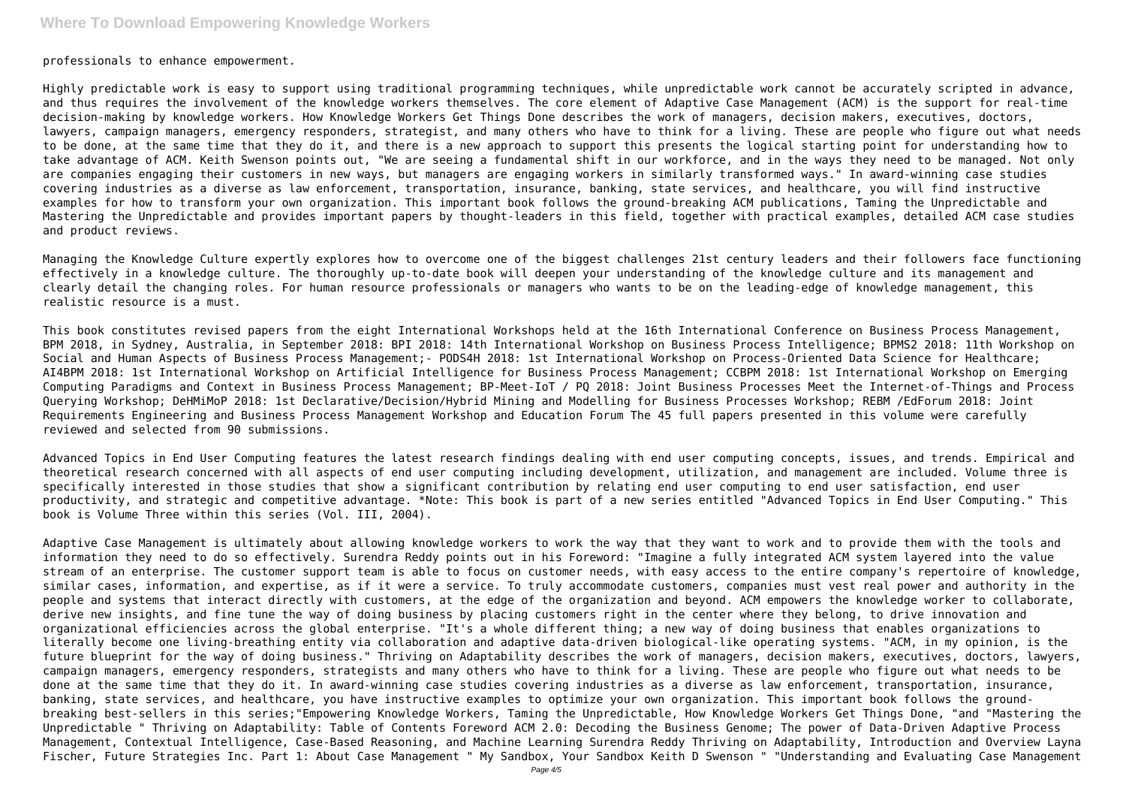professionals to enhance empowerment.

Highly predictable work is easy to support using traditional programming techniques, while unpredictable work cannot be accurately scripted in advance, and thus requires the involvement of the knowledge workers themselves. The core element of Adaptive Case Management (ACM) is the support for real-time decision-making by knowledge workers. How Knowledge Workers Get Things Done describes the work of managers, decision makers, executives, doctors, lawyers, campaign managers, emergency responders, strategist, and many others who have to think for a living. These are people who figure out what needs to be done, at the same time that they do it, and there is a new approach to support this presents the logical starting point for understanding how to take advantage of ACM. Keith Swenson points out, "We are seeing a fundamental shift in our workforce, and in the ways they need to be managed. Not only are companies engaging their customers in new ways, but managers are engaging workers in similarly transformed ways." In award-winning case studies covering industries as a diverse as law enforcement, transportation, insurance, banking, state services, and healthcare, you will find instructive examples for how to transform your own organization. This important book follows the ground-breaking ACM publications, Taming the Unpredictable and Mastering the Unpredictable and provides important papers by thought-leaders in this field, together with practical examples, detailed ACM case studies and product reviews.

Managing the Knowledge Culture expertly explores how to overcome one of the biggest challenges 21st century leaders and their followers face functioning effectively in a knowledge culture. The thoroughly up-to-date book will deepen your understanding of the knowledge culture and its management and clearly detail the changing roles. For human resource professionals or managers who wants to be on the leading-edge of knowledge management, this realistic resource is a must.

This book constitutes revised papers from the eight International Workshops held at the 16th International Conference on Business Process Management, BPM 2018, in Sydney, Australia, in September 2018: BPI 2018: 14th International Workshop on Business Process Intelligence; BPMS2 2018: 11th Workshop on Social and Human Aspects of Business Process Management;‐ PODS4H 2018: 1st International Workshop on Process-Oriented Data Science for Healthcare; AI4BPM 2018: 1st International Workshop on Artificial Intelligence for Business Process Management; CCBPM 2018: 1st International Workshop on Emerging Computing Paradigms and Context in Business Process Management; BP-Meet-IoT / PQ 2018: Joint Business Processes Meet the Internet-of-Things and Process Querying Workshop; DeHMiMoP 2018: 1st Declarative/Decision/Hybrid Mining and Modelling for Business Processes Workshop; REBM /EdForum 2018: Joint Requirements Engineering and Business Process Management Workshop and Education Forum The 45 full papers presented in this volume were carefully reviewed and selected from 90 submissions.

Adaptive Case Management is ultimately about allowing knowledge workers to work the way that they want to work and to provide them with the tools and information they need to do so effectively. Surendra Reddy points out in his Foreword: "Imagine a fully integrated ACM system layered into the value stream of an enterprise. The customer support team is able to focus on customer needs, with easy access to the entire company's repertoire of knowledge, similar cases, information, and expertise, as if it were a service. To truly accommodate customers, companies must vest real power and authority in the people and systems that interact directly with customers, at the edge of the organization and beyond. ACM empowers the knowledge worker to collaborate, derive new insights, and fine tune the way of doing business by placing customers right in the center where they belong, to drive innovation and organizational efficiencies across the global enterprise. "It's a whole different thing; a new way of doing business that enables organizations to literally become one living-breathing entity via collaboration and adaptive data-driven biological-like operating systems. "ACM, in my opinion, is the future blueprint for the way of doing business." Thriving on Adaptability describes the work of managers, decision makers, executives, doctors, lawyers, campaign managers, emergency responders, strategists and many others who have to think for a living. These are people who figure out what needs to be done at the same time that they do it. In award-winning case studies covering industries as a diverse as law enforcement, transportation, insurance, banking, state services, and healthcare, you have instructive examples to optimize your own organization. This important book follows the groundbreaking best-sellers in this series;"Empowering Knowledge Workers, Taming the Unpredictable, How Knowledge Workers Get Things Done, "and "Mastering the Unpredictable " Thriving on Adaptability: Table of Contents Foreword ACM 2.0: Decoding the Business Genome; The power of Data-Driven Adaptive Process Management, Contextual Intelligence, Case-Based Reasoning, and Machine Learning Surendra Reddy Thriving on Adaptability, Introduction and Overview Layna Fischer, Future Strategies Inc. Part 1: About Case Management " My Sandbox, Your Sandbox Keith D Swenson " "Understanding and Evaluating Case Management

Advanced Topics in End User Computing features the latest research findings dealing with end user computing concepts, issues, and trends. Empirical and theoretical research concerned with all aspects of end user computing including development, utilization, and management are included. Volume three is specifically interested in those studies that show a significant contribution by relating end user computing to end user satisfaction, end user productivity, and strategic and competitive advantage. \*Note: This book is part of a new series entitled "Advanced Topics in End User Computing." This book is Volume Three within this series (Vol. III, 2004).